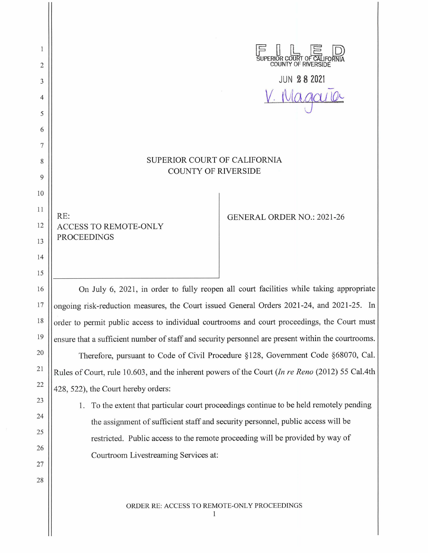SUPERIOR COURT OF CALIFORN 2 JUN **2 8 2021**  3 *V.* Nla 9ru lO<: 4 5 6 SUPERIOR COURT OF CALIFORNIA 8 COUNTY OF RIVERSIDE 9 10 RE: GENERAL ORDER NO.: 2021-26 12 ACCESS TO REMOTE-ONLY PROCEEDINGS 15 16 On July 6, 2021, in order to fully reopen all court facilities while taking appropriate 17 ongoing risk-reduction measures, the Court issued General Orders 2021-24, and 2021-25. In 18 order to permit public access to individual courtrooms and court proceedings, the Court must ensure that a sufficient number of staff and security personnel are present within the courtrooms.

7

 $\mathbf{1}$ 

11

13

14

19

20

21

22

23

24

25

26

27

28

Therefore, pursuant to Code of Civil Procedure §128, Government Code §68070, Cal. Rules of Court, rule 10.603, and the inherent powers of the Court *(In re Reno* (2012) 55 Cal.4th 428, 522), the Court hereby orders:

1. To the extent that particular court proceedings continue to be held remotely pending the assignment of sufficient staff and security personnel, public access will be restricted. Public access to the remote proceeding will be provided by way of Courtroom Livestreaming Services at:

ORDER RE: ACCESS TO REMOTE-ONLY PROCEEDINGS

1